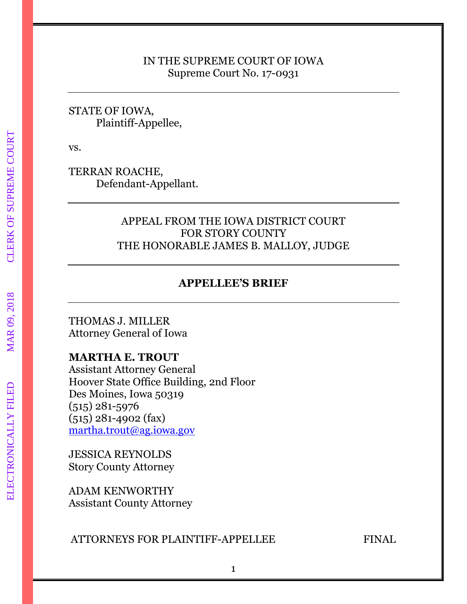### IN THE SUPREME COURT OF IOWA Supreme Court No. 17-0931

### STATE OF IOWA, Plaintiff-Appellee,

vs.

TERRAN ROACHE, Defendant-Appellant.

## APPEAL FROM THE IOWA DISTRICT COURT FOR STORY COUNTY THE HONORABLE JAMES B. MALLOY, JUDGE

# **APPELLEE'S BRIEF**

THOMAS J. MILLER Attorney General of Iowa

# **MARTHA E. TROUT**

Assistant Attorney General Hoover State Office Building, 2nd Floor Des Moines, Iowa 50319 (515) 281-5976 (515) 281-4902 (fax) [martha.trout@ag.iowa.gov](mailto:martha.trout@ag.iowa.gov)

JESSICA REYNOLDS Story County Attorney

ADAM KENWORTHY Assistant County Attorney

### ATTORNEYS FOR PLAINTIFF-APPELLEE FINAL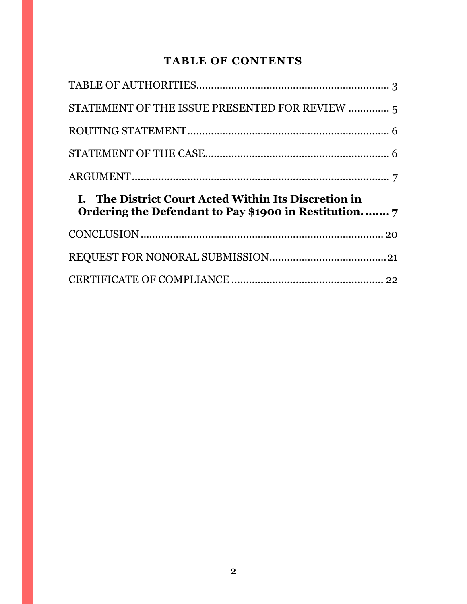# **TABLE OF CONTENTS**

| STATEMENT OF THE ISSUE PRESENTED FOR REVIEW  5                                                                |  |
|---------------------------------------------------------------------------------------------------------------|--|
|                                                                                                               |  |
|                                                                                                               |  |
|                                                                                                               |  |
|                                                                                                               |  |
| I. The District Court Acted Within Its Discretion in<br>Ordering the Defendant to Pay \$1900 in Restitution 7 |  |
|                                                                                                               |  |
|                                                                                                               |  |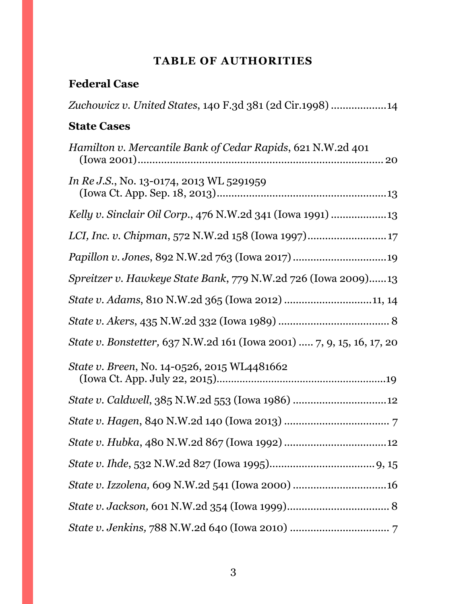# **TABLE OF AUTHORITIES**

# <span id="page-2-0"></span>**Federal Case**

| Zuchowicz v. United States, 140 F.3d 381 (2d Cir.1998) 14                    |
|------------------------------------------------------------------------------|
| <b>State Cases</b>                                                           |
| Hamilton v. Mercantile Bank of Cedar Rapids, 621 N.W.2d 401                  |
| <i>In Re J.S.</i> , No. 13-0174, 2013 WL 5291959                             |
| Kelly v. Sinclair Oil Corp., 476 N.W.2d 341 (Iowa 1991)                      |
|                                                                              |
|                                                                              |
| Spreitzer v. Hawkeye State Bank, 779 N.W.2d 726 (Iowa 2009)13                |
| State v. Adams, 810 N.W.2d 365 (Iowa 2012) 11, 14                            |
|                                                                              |
| <i>State v. Bonstetter,</i> 637 N.W.2d 161 (Iowa 2001)  7, 9, 15, 16, 17, 20 |
| <i>State v. Breen, No.</i> 14-0526, 2015 WL4481662                           |
|                                                                              |
|                                                                              |
|                                                                              |
|                                                                              |
|                                                                              |
|                                                                              |
|                                                                              |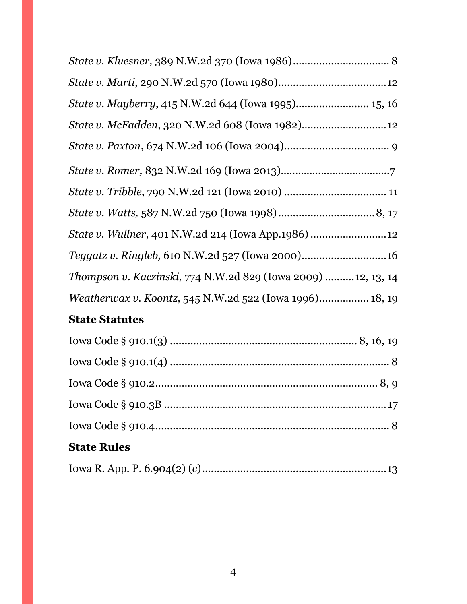| State v. Wullner, 401 N.W.2d 214 (Iowa App.1986) 12            |  |
|----------------------------------------------------------------|--|
|                                                                |  |
| Thompson v. Kaczinski, 774 N.W.2d 829 (Iowa 2009) 12, 13, 14   |  |
| <i>Weatherwax v. Koontz, 545 N.W.2d 522 (Iowa 1996) 18, 19</i> |  |

# **State Statutes**

| <b>State Rules</b> |  |
|--------------------|--|
|                    |  |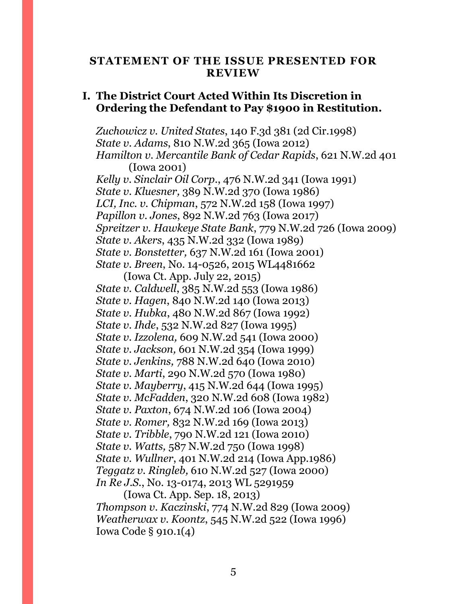#### <span id="page-4-0"></span>**STATEMENT OF THE ISSUE PRESENTED FOR REVIEW**

#### **I. The District Court Acted Within Its Discretion in Ordering the Defendant to Pay \$1900 in Restitution.**

*Zuchowicz v. United States*, 140 F.3d 381 (2d Cir.1998) *State v. Adams*, 810 N.W.2d 365 (Iowa 2012) *Hamilton v. Mercantile Bank of Cedar Rapids*, 621 N.W.2d 401 (Iowa 2001) *Kelly v. Sinclair Oil Corp*., 476 N.W.2d 341 (Iowa 1991) *State v. Kluesner,* 389 N.W.2d 370 (Iowa 1986) *LCI, Inc. v. Chipman*, 572 N.W.2d 158 (Iowa 1997) *Papillon v. Jones*, 892 N.W.2d 763 (Iowa 2017) *Spreitzer v. Hawkeye State Bank*, 779 N.W.2d 726 (Iowa 2009) *State v. Akers*, 435 N.W.2d 332 (Iowa 1989) *State v. Bonstetter,* 637 N.W.2d 161 (Iowa 2001) *State v. Breen*, No. 14-0526, 2015 WL4481662

(Iowa Ct. App. July 22, 2015) *State v. Caldwell*, 385 N.W.2d 553 (Iowa 1986) *State v. Hagen*, 840 N.W.2d 140 (Iowa 2013) *State v. Hubka*, 480 N.W.2d 867 (Iowa 1992) *State v. Ihde*, 532 N.W.2d 827 (Iowa 1995) *State v. Izzolena,* 609 N.W.2d 541 (Iowa 2000) *State v. Jackson,* 601 N.W.2d 354 (Iowa 1999) *State v. Jenkins,* 788 N.W.2d 640 (Iowa 2010) *State v. Marti*, 290 N.W.2d 570 (Iowa 1980) *State v. Mayberry*, 415 N.W.2d 644 (Iowa 1995) *State v. McFadden*, 320 N.W.2d 608 (Iowa 1982) *State v. Paxton*, 674 N.W.2d 106 (Iowa 2004) *State v. Romer,* 832 N.W.2d 169 (Iowa 2013) *State v. Tribble*, 790 N.W.2d 121 (Iowa 2010) *State v. Watts,* 587 N.W.2d 750 (Iowa 1998) *State v. Wullner*, 401 N.W.2d 214 (Iowa App.1986) *Teggatz v. Ringleb,* 610 N.W.2d 527 (Iowa 2000) *In Re J.S.*, No. 13-0174, 2013 WL 5291959 (Iowa Ct. App. Sep. 18, 2013)

*Thompson v. Kaczinski*, 774 N.W.2d 829 (Iowa 2009) *Weatherwax v. Koontz*, 545 N.W.2d 522 (Iowa 1996) Iowa Code § 910.1(4)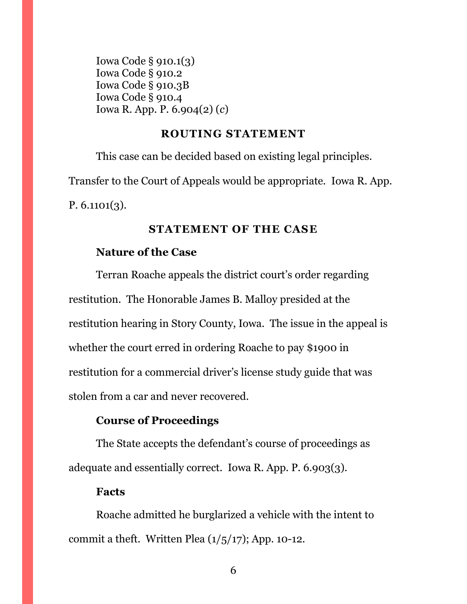Iowa Code § 910.1(3) Iowa Code § 910.2 Iowa Code § 910.3B Iowa Code § 910.4 Iowa R. App. P. 6.904(2) (*c*)

#### **ROUTING STATEMENT**

<span id="page-5-0"></span>This case can be decided based on existing legal principles. Transfer to the Court of Appeals would be appropriate. Iowa R. App. P.  $6.1101(3)$ .

### **STATEMENT OF THE CASE**

#### <span id="page-5-1"></span>**Nature of the Case**

Terran Roache appeals the district court's order regarding restitution. The Honorable James B. Malloy presided at the restitution hearing in Story County, Iowa. The issue in the appeal is whether the court erred in ordering Roache to pay \$1900 in restitution for a commercial driver's license study guide that was stolen from a car and never recovered.

### **Course of Proceedings**

The State accepts the defendant's course of proceedings as adequate and essentially correct. Iowa R. App. P. 6.903(3).

#### **Facts**

Roache admitted he burglarized a vehicle with the intent to commit a theft. Written Plea  $(1/5/17)$ ; App. 10-12.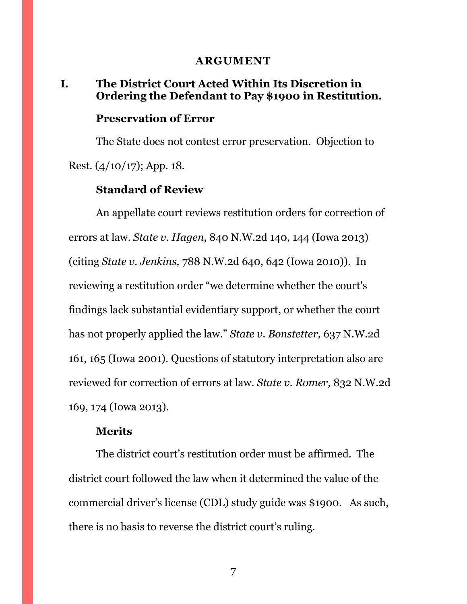#### **ARGUMENT**

#### <span id="page-6-1"></span><span id="page-6-0"></span>**I. The District Court Acted Within Its Discretion in Ordering the Defendant to Pay \$1900 in Restitution.**

#### **Preservation of Error**

The State does not contest error preservation. Objection to Rest. (4/10/17); App. 18.

### **Standard of Review**

An appellate court reviews restitution orders for correction of errors at law. *State v. Hagen*, 840 N.W.2d 140, 144 (Iowa 2013) (citing *State v. Jenkins,* 788 N.W.2d 640, 642 (Iowa 2010)). In reviewing a restitution order "we determine whether the court's findings lack substantial evidentiary support, or whether the court has not properly applied the law." *State v. Bonstetter,* 637 N.W.2d 161, 165 (Iowa 2001). Questions of statutory interpretation also are reviewed for correction of errors at law. *State v. Romer,* 832 N.W.2d 169, 174 (Iowa 2013).

#### **Merits**

The district court's restitution order must be affirmed. The district court followed the law when it determined the value of the commercial driver's license (CDL) study guide was \$1900. As such, there is no basis to reverse the district court's ruling.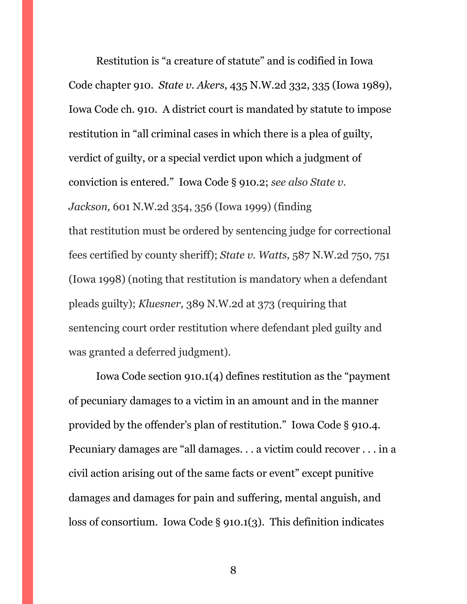Restitution is "a creature of statute" and is codified in Iowa Code chapter 910. *State v. Akers*, 435 N.W.2d 332, 335 (Iowa 1989), Iowa Code ch. 910. A district court is mandated by statute to impose restitution in "all criminal cases in which there is a plea of guilty, verdict of guilty, or a special verdict upon which a judgment of conviction is entered." Iowa Code § 910.2; *see also State v. Jackson,* 601 N.W.2d 354, 356 (Iowa 1999) (finding that restitution must be ordered by sentencing judge for correctional fees certified by county sheriff); *State v. Watts,* 587 N.W.2d 750, 751 (Iowa 1998) (noting that restitution is mandatory when a defendant pleads guilty); *Kluesner,* 389 N.W.2d at 373 (requiring that sentencing court order restitution where defendant pled guilty and was granted a deferred judgment).

Iowa Code section 910.1(4) defines restitution as the "payment of pecuniary damages to a victim in an amount and in the manner provided by the offender's plan of restitution." Iowa Code § 910.4. Pecuniary damages are "all damages. . . a victim could recover . . . in a civil action arising out of the same facts or event" except punitive damages and damages for pain and suffering, mental anguish, and loss of consortium. Iowa Code § 910.1(3). This definition indicates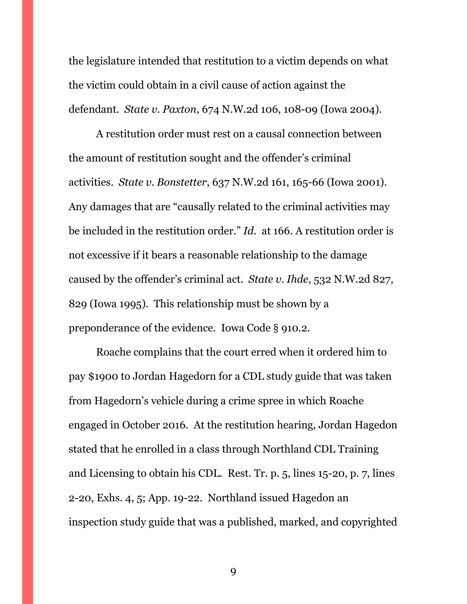the legislature intended that restitution to a victim depends on what the victim could obtain in a civil cause of action against the defendant. *State v. Paxton*, 674 N.W.2d 106, 108-09 (Iowa 2004).

A restitution order must rest on a causal connection between the amount of restitution sought and the offender's criminal activities. *State v. Bonstetter*, 637 N.W.2d 161, 165-66 (Iowa 2001). Any damages that are "causally related to the criminal activities may be included in the restitution order." *Id*. at 166. A restitution order is not excessive if it bears a reasonable relationship to the damage caused by the offender's criminal act. *State v. Ihde*, 532 N.W.2d 827, 829 (Iowa 1995). This relationship must be shown by a preponderance of the evidence. Iowa Code § 910.2.

Roache complains that the court erred when it ordered him to pay \$1900 to Jordan Hagedorn for a CDL study guide that was taken from Hagedorn's vehicle during a crime spree in which Roache engaged in October 2016. At the restitution hearing, Jordan Hagedon stated that he enrolled in a class through Northland CDL Training and Licensing to obtain his CDL. Rest. Tr. p. 5, lines 15-20, p. 7, lines 2-20, Exhs. 4, 5; App. 19-22. Northland issued Hagedon an inspection study guide that was a published, marked, and copyrighted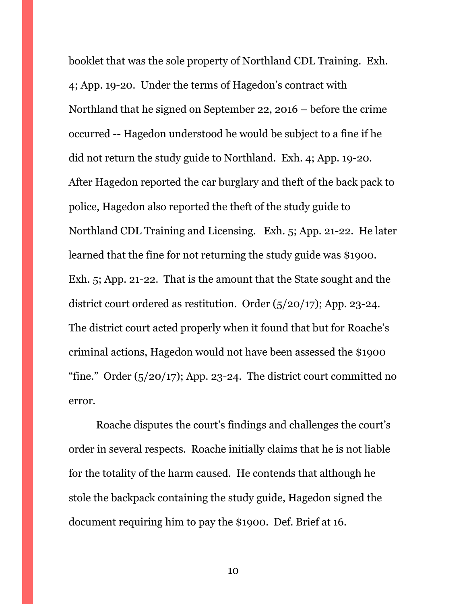booklet that was the sole property of Northland CDL Training. Exh. 4; App. 19-20. Under the terms of Hagedon's contract with Northland that he signed on September 22, 2016 – before the crime occurred -- Hagedon understood he would be subject to a fine if he did not return the study guide to Northland. Exh. 4; App. 19-20. After Hagedon reported the car burglary and theft of the back pack to police, Hagedon also reported the theft of the study guide to Northland CDL Training and Licensing. Exh. 5; App. 21-22. He later learned that the fine for not returning the study guide was \$1900. Exh. 5; App. 21-22. That is the amount that the State sought and the district court ordered as restitution. Order (5/20/17); App. 23-24. The district court acted properly when it found that but for Roache's criminal actions, Hagedon would not have been assessed the \$1900 "fine." Order  $(5/20/17)$ ; App. 23-24. The district court committed no error.

Roache disputes the court's findings and challenges the court's order in several respects. Roache initially claims that he is not liable for the totality of the harm caused. He contends that although he stole the backpack containing the study guide, Hagedon signed the document requiring him to pay the \$1900. Def. Brief at 16.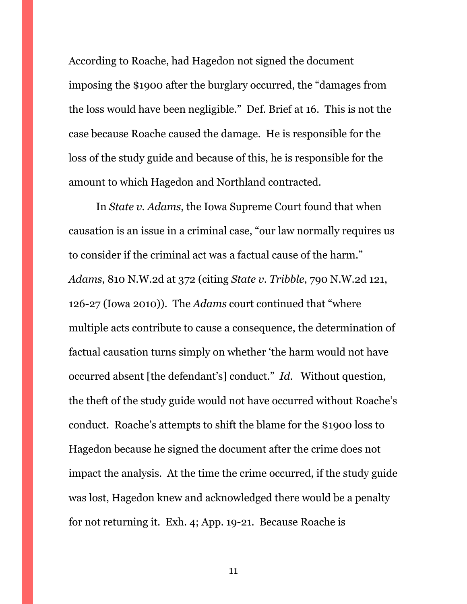According to Roache, had Hagedon not signed the document imposing the \$1900 after the burglary occurred, the "damages from the loss would have been negligible." Def. Brief at 16. This is not the case because Roache caused the damage. He is responsible for the loss of the study guide and because of this, he is responsible for the amount to which Hagedon and Northland contracted.

In *State v. Adams*, the Iowa Supreme Court found that when causation is an issue in a criminal case, "our law normally requires us to consider if the criminal act was a factual cause of the harm." *Adams*, 810 N.W.2d at 372 (citing *State v. Tribble*, 790 N.W.2d 121, 126-27 (Iowa 2010)). The *Adams* court continued that "where multiple acts contribute to cause a consequence, the determination of factual causation turns simply on whether 'the harm would not have occurred absent [the defendant's] conduct." *Id*. Without question, the theft of the study guide would not have occurred without Roache's conduct. Roache's attempts to shift the blame for the \$1900 loss to Hagedon because he signed the document after the crime does not impact the analysis. At the time the crime occurred, if the study guide was lost, Hagedon knew and acknowledged there would be a penalty for not returning it. Exh. 4; App. 19-21. Because Roache is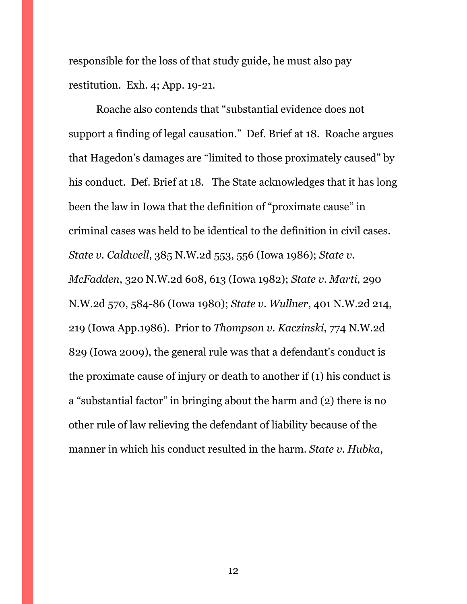responsible for the loss of that study guide, he must also pay restitution. Exh. 4; App. 19-21.

Roache also contends that "substantial evidence does not support a finding of legal causation." Def. Brief at 18. Roache argues that Hagedon's damages are "limited to those proximately caused" by his conduct. Def. Brief at 18. The State acknowledges that it has long been the law in Iowa that the definition of "proximate cause" in criminal cases was held to be identical to the definition in civil cases. *State v. Caldwell*, 385 N.W.2d 553, 556 (Iowa 1986); *State v. McFadden*, 320 N.W.2d 608, 613 (Iowa 1982); *State v. Marti*, 290 N.W.2d 570, 584-86 (Iowa 1980); *State v. Wullner*, 401 N.W.2d 214, 219 (Iowa App.1986). Prior to *Thompson v. Kaczinski*, 774 N.W.2d 829 (Iowa 2009), the general rule was that a defendant's conduct is the proximate cause of injury or death to another if (1) his conduct is a "substantial factor" in bringing about the harm and (2) there is no other rule of law relieving the defendant of liability because of the manner in which his conduct resulted in the harm. *State v. Hubka*,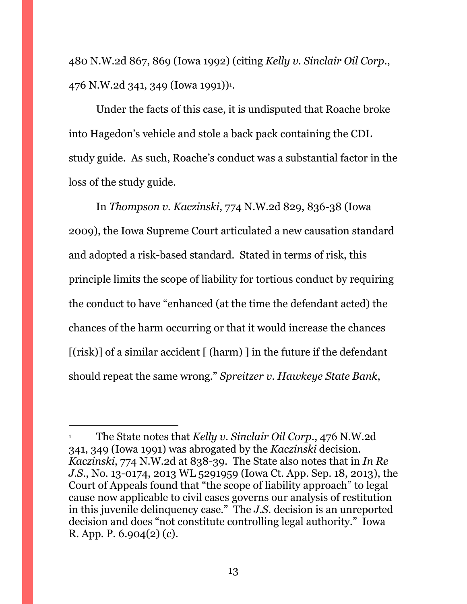480 N.W.2d 867, 869 (Iowa 1992) (citing *Kelly v. Sinclair Oil Corp*., 476 N.W.2d 341, 349 (Iowa 1991))<sup>1</sup>.

Under the facts of this case, it is undisputed that Roache broke into Hagedon's vehicle and stole a back pack containing the CDL study guide. As such, Roache's conduct was a substantial factor in the loss of the study guide.

In *Thompson v. Kaczinski*, 774 N.W.2d 829, 836-38 (Iowa 2009), the Iowa Supreme Court articulated a new causation standard and adopted a risk-based standard. Stated in terms of risk, this principle limits the scope of liability for tortious conduct by requiring the conduct to have "enhanced (at the time the defendant acted) the chances of the harm occurring or that it would increase the chances  $[(risk)]$  of a similar accident  $[(\text{harm})]$  in the future if the defendant should repeat the same wrong." *Spreitzer v. Hawkeye State Bank*,

 $\overline{a}$ 

<sup>1</sup> The State notes that *Kelly v. Sinclair Oil Corp*., 476 N.W.2d 341, 349 (Iowa 1991) was abrogated by the *Kaczinski* decision. *Kaczinski*, 774 N.W.2d at 838-39. The State also notes that in *In Re J.S.*, No. 13-0174, 2013 WL 5291959 (Iowa Ct. App. Sep. 18, 2013), the Court of Appeals found that "the scope of liability approach" to legal cause now applicable to civil cases governs our analysis of restitution in this juvenile delinquency case." The *J.S.* decision is an unreported decision and does "not constitute controlling legal authority." Iowa R. App. P. 6.904(2) (*c*).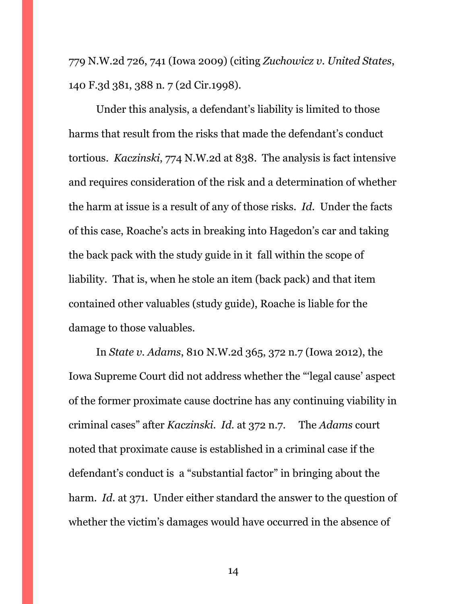779 N.W.2d 726, 741 (Iowa 2009) (citing *Zuchowicz v. United States*, 140 F.3d 381, 388 n. 7 (2d Cir.1998).

Under this analysis, a defendant's liability is limited to those harms that result from the risks that made the defendant's conduct tortious. *Kaczinski*, 774 N.W.2d at 838. The analysis is fact intensive and requires consideration of the risk and a determination of whether the harm at issue is a result of any of those risks. *Id*. Under the facts of this case, Roache's acts in breaking into Hagedon's car and taking the back pack with the study guide in it fall within the scope of liability. That is, when he stole an item (back pack) and that item contained other valuables (study guide), Roache is liable for the damage to those valuables.

In *State v. Adams*, 810 N.W.2d 365, 372 n.7 (Iowa 2012), the Iowa Supreme Court did not address whether the "'legal cause' aspect of the former proximate cause doctrine has any continuing viability in criminal cases" after *Kaczinski*. *Id.* at 372 n.7. The *Adams* court noted that proximate cause is established in a criminal case if the defendant's conduct is a "substantial factor" in bringing about the harm. *Id.* at 371. Under either standard the answer to the question of whether the victim's damages would have occurred in the absence of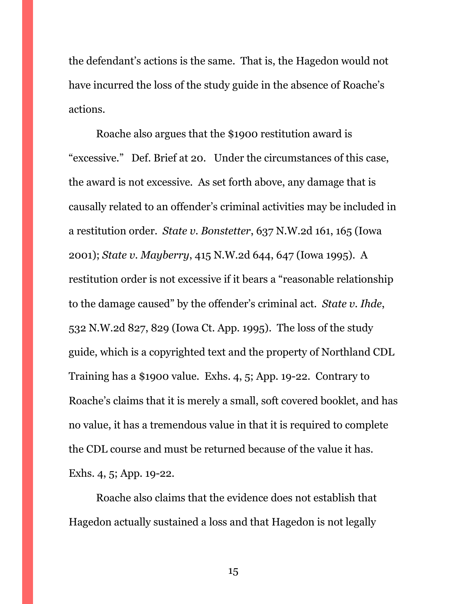the defendant's actions is the same. That is, the Hagedon would not have incurred the loss of the study guide in the absence of Roache's actions.

Roache also argues that the \$1900 restitution award is "excessive." Def. Brief at 20. Under the circumstances of this case, the award is not excessive. As set forth above, any damage that is causally related to an offender's criminal activities may be included in a restitution order. *State v. Bonstetter*, 637 N.W.2d 161, 165 (Iowa 2001); *State v. Mayberry*, 415 N.W.2d 644, 647 (Iowa 1995). A restitution order is not excessive if it bears a "reasonable relationship to the damage caused" by the offender's criminal act. *State v. Ihde*, 532 N.W.2d 827, 829 (Iowa Ct. App. 1995). The loss of the study guide, which is a copyrighted text and the property of Northland CDL Training has a \$1900 value. Exhs. 4, 5; App. 19-22. Contrary to Roache's claims that it is merely a small, soft covered booklet, and has no value, it has a tremendous value in that it is required to complete the CDL course and must be returned because of the value it has. Exhs. 4, 5; App. 19-22.

Roache also claims that the evidence does not establish that Hagedon actually sustained a loss and that Hagedon is not legally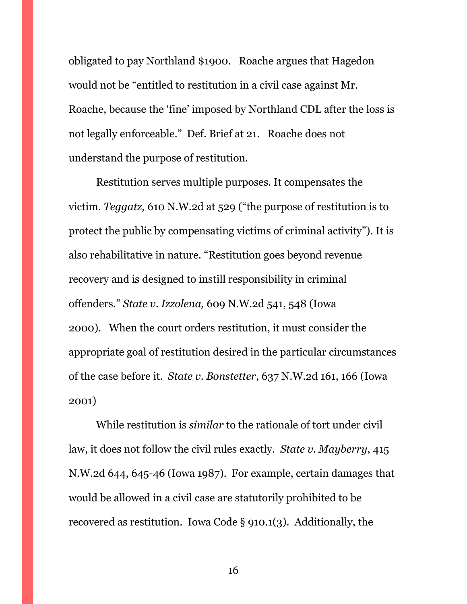obligated to pay Northland \$1900. Roache argues that Hagedon would not be "entitled to restitution in a civil case against Mr. Roache, because the 'fine' imposed by Northland CDL after the loss is not legally enforceable." Def. Brief at 21. Roache does not understand the purpose of restitution.

Restitution serves multiple purposes. It compensates the victim. *Teggatz,* 610 N.W.2d at 529 ("the purpose of restitution is to protect the public by compensating victims of criminal activity"). It is also rehabilitative in nature. "Restitution goes beyond revenue recovery and is designed to instill responsibility in criminal offenders." *State v. Izzolena,* 609 N.W.2d 541, 548 (Iowa 2000). When the court orders restitution, it must consider the appropriate goal of restitution desired in the particular circumstances of the case before it. *State v. Bonstetter*, 637 N.W.2d 161, 166 (Iowa 2001)

While restitution is *similar* to the rationale of tort under civil law, it does not follow the civil rules exactly. *State v. Mayberry*, 415 N.W.2d 644, 645-46 (Iowa 1987). For example, certain damages that would be allowed in a civil case are statutorily prohibited to be recovered as restitution. Iowa Code § 910.1(3). Additionally, the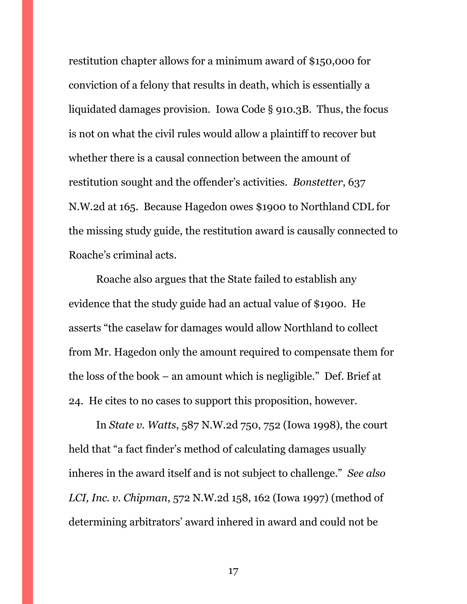restitution chapter allows for a minimum award of \$150,000 for conviction of a felony that results in death, which is essentially a liquidated damages provision. Iowa Code § 910.3B. Thus, the focus is not on what the civil rules would allow a plaintiff to recover but whether there is a causal connection between the amount of restitution sought and the offender's activities. *Bonstetter*, 637 N.W.2d at 165. Because Hagedon owes \$1900 to Northland CDL for the missing study guide, the restitution award is causally connected to Roache's criminal acts.

Roache also argues that the State failed to establish any evidence that the study guide had an actual value of \$1900. He asserts "the caselaw for damages would allow Northland to collect from Mr. Hagedon only the amount required to compensate them for the loss of the book – an amount which is negligible." Def. Brief at 24. He cites to no cases to support this proposition, however.

In *State v. Watts*, 587 N.W.2d 750, 752 (Iowa 1998), the court held that "a fact finder's method of calculating damages usually inheres in the award itself and is not subject to challenge." *See also LCI, Inc. v. Chipman*, 572 N.W.2d 158, 162 (Iowa 1997) (method of determining arbitrators' award inhered in award and could not be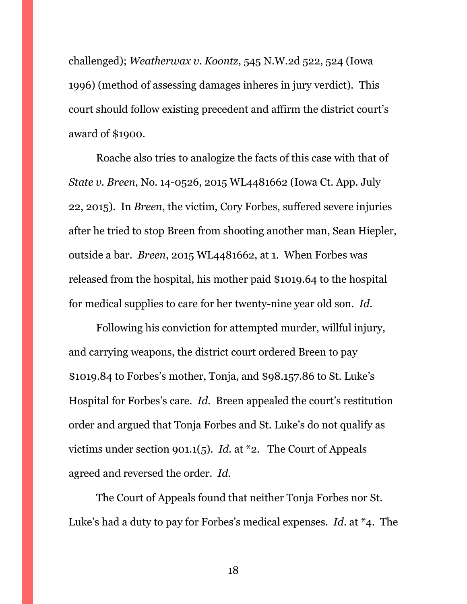challenged); *Weatherwax v. Koontz*, 545 N.W.2d 522, 524 (Iowa 1996) (method of assessing damages inheres in jury verdict). This court should follow existing precedent and affirm the district court's award of \$1900.

Roache also tries to analogize the facts of this case with that of *State v. Breen*, No. 14-0526, 2015 WL4481662 (Iowa Ct. App. July 22, 2015). In *Breen*, the victim, Cory Forbes, suffered severe injuries after he tried to stop Breen from shooting another man, Sean Hiepler, outside a bar. *Breen*, 2015 WL4481662, at 1. When Forbes was released from the hospital, his mother paid \$1019.64 to the hospital for medical supplies to care for her twenty-nine year old son. *Id.* 

Following his conviction for attempted murder, willful injury, and carrying weapons, the district court ordered Breen to pay \$1019.84 to Forbes's mother, Tonja, and \$98.157.86 to St. Luke's Hospital for Forbes's care. *Id*. Breen appealed the court's restitution order and argued that Tonja Forbes and St. Luke's do not qualify as victims under section 901.1(5). *Id.* at \*2. The Court of Appeals agreed and reversed the order. *Id*.

The Court of Appeals found that neither Tonja Forbes nor St. Luke's had a duty to pay for Forbes's medical expenses. *Id*. at \*4. The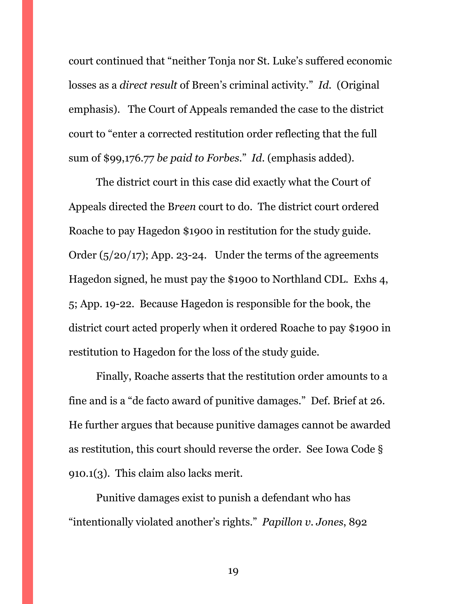court continued that "neither Tonja nor St. Luke's suffered economic losses as a *direct result* of Breen's criminal activity." *Id*. (Original emphasis). The Court of Appeals remanded the case to the district court to "enter a corrected restitution order reflecting that the full sum of \$99,176.77 *be paid to Forbes*." *Id*. (emphasis added).

The district court in this case did exactly what the Court of Appeals directed the B*reen* court to do. The district court ordered Roache to pay Hagedon \$1900 in restitution for the study guide. Order  $(5/20/17)$ ; App. 23-24. Under the terms of the agreements Hagedon signed, he must pay the \$1900 to Northland CDL. Exhs 4, 5; App. 19-22. Because Hagedon is responsible for the book, the district court acted properly when it ordered Roache to pay \$1900 in restitution to Hagedon for the loss of the study guide.

Finally, Roache asserts that the restitution order amounts to a fine and is a "de facto award of punitive damages." Def. Brief at 26. He further argues that because punitive damages cannot be awarded as restitution, this court should reverse the order. See Iowa Code § 910.1(3). This claim also lacks merit.

Punitive damages exist to punish a defendant who has "intentionally violated another's rights." *Papillon v. Jones*, 892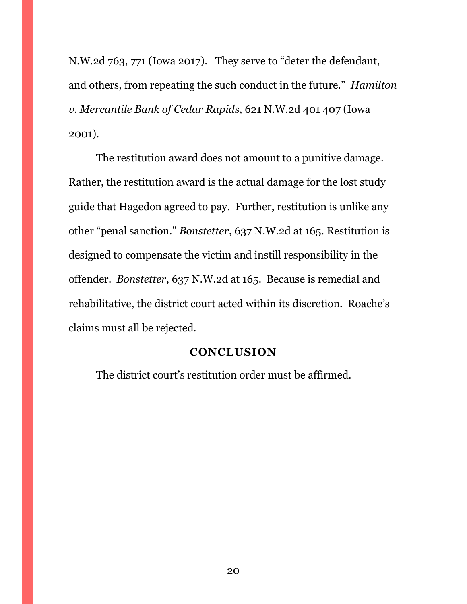N.W.2d 763, 771 (Iowa 2017). They serve to "deter the defendant, and others, from repeating the such conduct in the future." *Hamilton v. Mercantile Bank of Cedar Rapids*, 621 N.W.2d 401 407 (Iowa 2001).

The restitution award does not amount to a punitive damage. Rather, the restitution award is the actual damage for the lost study guide that Hagedon agreed to pay. Further, restitution is unlike any other "penal sanction." *Bonstetter*, 637 N.W.2d at 165. Restitution is designed to compensate the victim and instill responsibility in the offender. *Bonstetter*, 637 N.W.2d at 165. Because is remedial and rehabilitative, the district court acted within its discretion. Roache's claims must all be rejected.

#### **CONCLUSION**

<span id="page-19-1"></span><span id="page-19-0"></span>The district court's restitution order must be affirmed.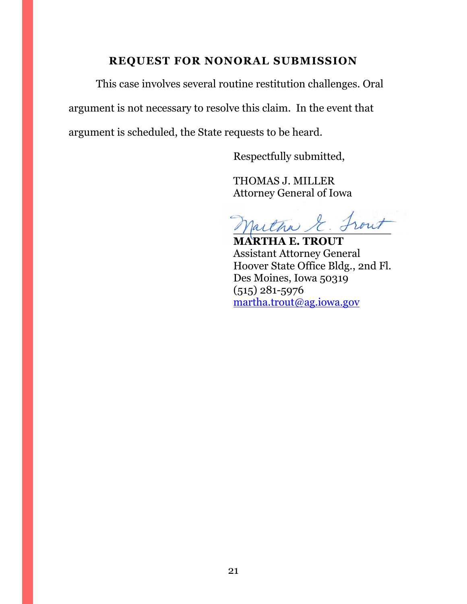### **REQUEST FOR NONORAL SUBMISSION**

This case involves several routine restitution challenges. Oral argument is not necessary to resolve this claim. In the event that argument is scheduled, the State requests to be heard.

Respectfully submitted,

THOMAS J. MILLER Attorney General of Iowa

partha & Front

**MARTHA E. TROUT** Assistant Attorney General Hoover State Office Bldg., 2nd Fl. Des Moines, Iowa 50319 (515) 281-5976 [martha.trout@ag.iowa.gov](mailto:martha.trout@ag.iowa.gov)